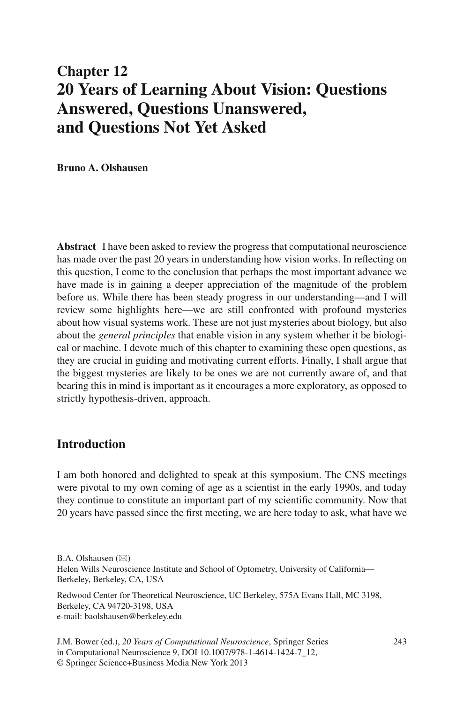# **Chapter 12 20 Years of Learning About Vision: Questions Answered, Questions Unanswered, and Questions Not Yet Asked**

 **Bruno A. Olshausen** 

 **Abstract** I have been asked to review the progress that computational neuroscience has made over the past 20 years in understanding how vision works. In reflecting on this question, I come to the conclusion that perhaps the most important advance we have made is in gaining a deeper appreciation of the magnitude of the problem before us. While there has been steady progress in our understanding—and I will review some highlights here—we are still confronted with profound mysteries about how visual systems work. These are not just mysteries about biology, but also about the *general principles* that enable vision in any system whether it be biological or machine. I devote much of this chapter to examining these open questions, as they are crucial in guiding and motivating current efforts. Finally, I shall argue that the biggest mysteries are likely to be ones we are not currently aware of, and that bearing this in mind is important as it encourages a more exploratory, as opposed to strictly hypothesis-driven, approach.

# **Introduction**

 I am both honored and delighted to speak at this symposium. The CNS meetings were pivotal to my own coming of age as a scientist in the early 1990s, and today they continue to constitute an important part of my scientific community. Now that 20 years have passed since the first meeting, we are here today to ask, what have we

B.A. Olshausen  $(\boxtimes)$ 

Helen Wills Neuroscience Institute and School of Optometry, University of California-Berkeley, Berkeley, CA, USA

Redwood Center for Theoretical Neuroscience , UC Berkeley , 575A Evans Hall, MC 3198 , Berkeley, CA 94720-3198, USA e-mail: baolshausen@berkeley.edu

J.M. Bower (ed.), *20 Years of Computational Neuroscience*, Springer Series 243 in Computational Neuroscience 9, DOI 10.1007/978-1-4614-1424-7\_12, © Springer Science+Business Media New York 2013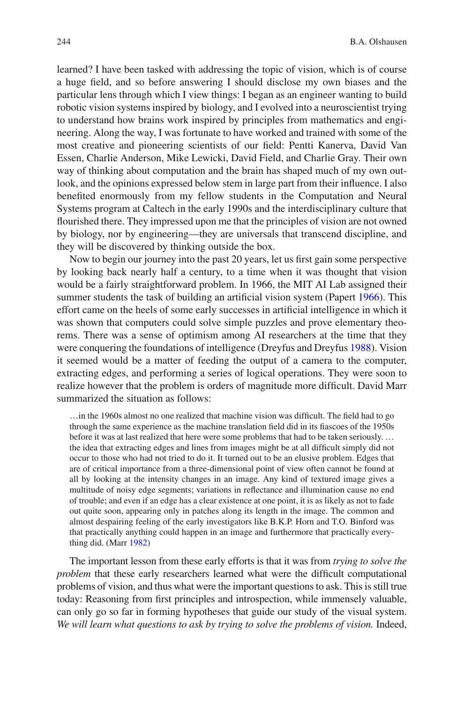learned? I have been tasked with addressing the topic of vision, which is of course a huge field, and so before answering I should disclose my own biases and the particular lens through which I view things: I began as an engineer wanting to build robotic vision systems inspired by biology, and I evolved into a neuroscientist trying to understand how brains work inspired by principles from mathematics and engineering. Along the way, I was fortunate to have worked and trained with some of the most creative and pioneering scientists of our field: Pentti Kanerva, David Van Essen, Charlie Anderson, Mike Lewicki, David Field, and Charlie Gray. Their own way of thinking about computation and the brain has shaped much of my own outlook, and the opinions expressed below stem in large part from their influence. I also benefited enormously from my fellow students in the Computation and Neural Systems program at Caltech in the early 1990s and the interdisciplinary culture that flourished there. They impressed upon me that the principles of vision are not owned by biology, nor by engineering—they are universals that transcend discipline, and they will be discovered by thinking outside the box.

Now to begin our journey into the past 20 years, let us first gain some perspective by looking back nearly half a century, to a time when it was thought that vision would be a fairly straightforward problem. In 1966, the MIT AI Lab assigned their summer students the task of building an artificial vision system (Papert [1966](#page-26-0)). This effort came on the heels of some early successes in artificial intelligence in which it was shown that computers could solve simple puzzles and prove elementary theorems. There was a sense of optimism among AI researchers at the time that they were conquering the foundations of intelligence (Dreyfus and Dreyfus [1988 \)](#page-24-0). Vision it seemed would be a matter of feeding the output of a camera to the computer, extracting edges, and performing a series of logical operations. They were soon to realize however that the problem is orders of magnitude more difficult. David Marr summarized the situation as follows:

 $\ldots$  in the 1960s almost no one realized that machine vision was difficult. The field had to go through the same experience as the machine translation field did in its fiascoes of the 1950s before it was at last realized that here were some problems that had to be taken seriously. … the idea that extracting edges and lines from images might be at all difficult simply did not occur to those who had not tried to do it. It turned out to be an elusive problem. Edges that are of critical importance from a three-dimensional point of view often cannot be found at all by looking at the intensity changes in an image. Any kind of textured image gives a multitude of noisy edge segments; variations in reflectance and illumination cause no end of trouble; and even if an edge has a clear existence at one point, it is as likely as not to fade out quite soon, appearing only in patches along its length in the image. The common and almost despairing feeling of the early investigators like B.K.P. Horn and T.O. Binford was that practically anything could happen in an image and furthermore that practically everything did. (Marr  $1982$ )

 The important lesson from these early efforts is that it was from *trying to solve the problem* that these early researchers learned what were the difficult computational problems of vision, and thus what were the important questions to ask. This is still true today: Reasoning from first principles and introspection, while immensely valuable, can only go so far in forming hypotheses that guide our study of the visual system. *We will learn what questions to ask by trying to solve the problems of vision.* Indeed,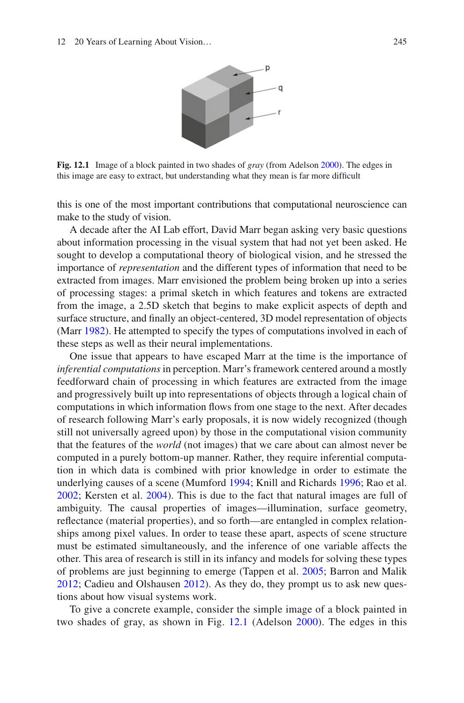

<span id="page-2-0"></span>**Fig. 12.1** Image of a block painted in two shades of *gray* (from Adelson [2000](#page-23-0)). The edges in this image are easy to extract, but understanding what they mean is far more difficult

this is one of the most important contributions that computational neuroscience can make to the study of vision.

 A decade after the AI Lab effort, David Marr began asking very basic questions about information processing in the visual system that had not yet been asked. He sought to develop a computational theory of biological vision, and he stressed the importance of *representation* and the different types of information that need to be extracted from images. Marr envisioned the problem being broken up into a series of processing stages: a primal sketch in which features and tokens are extracted from the image, a 2.5D sketch that begins to make explicit aspects of depth and surface structure, and finally an object-centered, 3D model representation of objects (Marr  $1982$ ). He attempted to specify the types of computations involved in each of these steps as well as their neural implementations.

 One issue that appears to have escaped Marr at the time is the importance of *inferential computations* in perception. Marr's framework centered around a mostly feedforward chain of processing in which features are extracted from the image and progressively built up into representations of objects through a logical chain of computations in which information flows from one stage to the next. After decades of research following Marr's early proposals, it is now widely recognized (though still not universally agreed upon) by those in the computational vision community that the features of the *world* (not images) that we care about can almost never be computed in a purely bottom-up manner. Rather, they require inferential computation in which data is combined with prior knowledge in order to estimate the underlying causes of a scene (Mumford [1994](#page-26-0); Knill and Richards 1996; Rao et al. [2002](#page-26-0); Kersten et al. 2004). This is due to the fact that natural images are full of ambiguity. The causal properties of images—illumination, surface geometry, reflectance (material properties), and so forth—are entangled in complex relationships among pixel values. In order to tease these apart, aspects of scene structure must be estimated simultaneously, and the inference of one variable affects the other. This area of research is still in its infancy and models for solving these types of problems are just beginning to emerge (Tappen et al. [2005 ;](#page-27-0) Barron and Malik [2012](#page-24-0); Cadieu and Olshausen 2012). As they do, they prompt us to ask new questions about how visual systems work.

 To give a concrete example, consider the simple image of a block painted in two shades of gray, as shown in Fig. 12.1 (Adelson [2000](#page-23-0)). The edges in this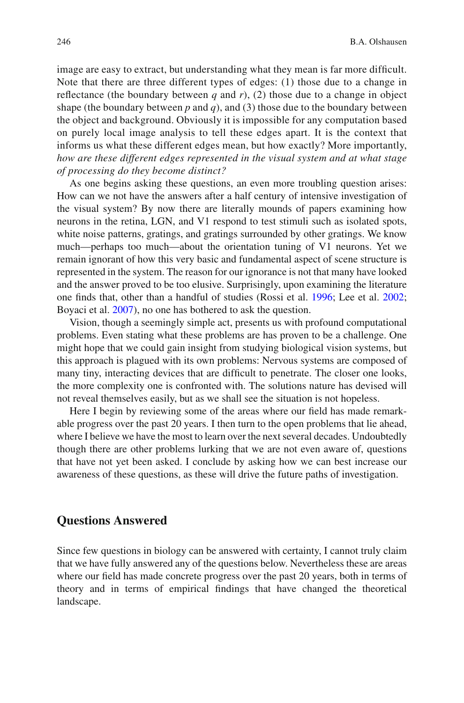image are easy to extract, but understanding what they mean is far more difficult. Note that there are three different types of edges: (1) those due to a change in reflectance (the boundary between  $q$  and  $r$ ), (2) those due to a change in object shape (the boundary between  $p$  and  $q$ ), and (3) those due to the boundary between the object and background. Obviously it is impossible for any computation based on purely local image analysis to tell these edges apart. It is the context that informs us what these different edges mean, but how exactly? More importantly, *how are these different edges represented in the visual system and at what stage of processing do they become distinct?*

 As one begins asking these questions, an even more troubling question arises: How can we not have the answers after a half century of intensive investigation of the visual system? By now there are literally mounds of papers examining how neurons in the retina, LGN, and V1 respond to test stimuli such as isolated spots, white noise patterns, gratings, and gratings surrounded by other gratings. We know much—perhaps too much—about the orientation tuning of V1 neurons. Yet we remain ignorant of how this very basic and fundamental aspect of scene structure is represented in the system. The reason for our ignorance is not that many have looked and the answer proved to be too elusive. Surprisingly, upon examining the literature one finds that, other than a handful of studies (Rossi et al. [1996](#page-27-0); Lee et al. 2002; Boyaci et al. 2007), no one has bothered to ask the question.

 Vision, though a seemingly simple act, presents us with profound computational problems. Even stating what these problems are has proven to be a challenge. One might hope that we could gain insight from studying biological vision systems, but this approach is plagued with its own problems: Nervous systems are composed of many tiny, interacting devices that are difficult to penetrate. The closer one looks, the more complexity one is confronted with. The solutions nature has devised will not reveal themselves easily, but as we shall see the situation is not hopeless.

Here I begin by reviewing some of the areas where our field has made remarkable progress over the past 20 years. I then turn to the open problems that lie ahead, where I believe we have the most to learn over the next several decades. Undoubtedly though there are other problems lurking that we are not even aware of, questions that have not yet been asked. I conclude by asking how we can best increase our awareness of these questions, as these will drive the future paths of investigation.

#### **Questions Answered**

 Since few questions in biology can be answered with certainty, I cannot truly claim that we have fully answered any of the questions below. Nevertheless these are areas where our field has made concrete progress over the past 20 years, both in terms of theory and in terms of empirical findings that have changed the theoretical landscape.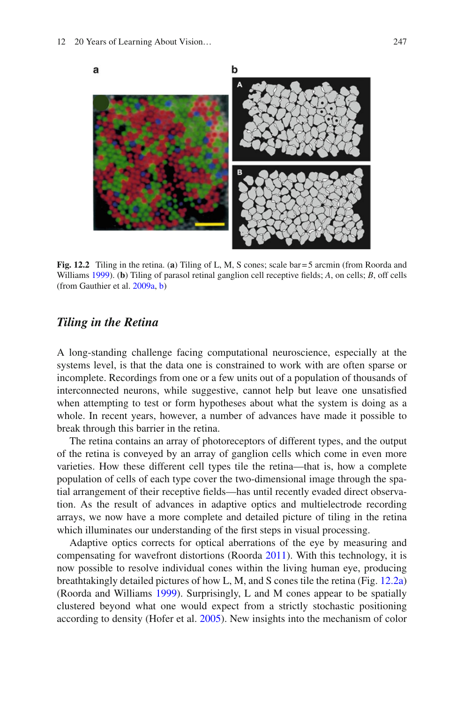<span id="page-4-0"></span>

**Fig. 12.2** Tiling in the retina. (a) Tiling of L, M, S cones; scale bar = 5 arcmin (from Roorda and Williams 1999). (**b**) Tiling of parasol retinal ganglion cell receptive fields; *A*, on cells; *B*, off cells (from Gauthier et al. 2009a, [b](#page-24-0))

#### *Tiling in the Retina*

 A long-standing challenge facing computational neuroscience, especially at the systems level, is that the data one is constrained to work with are often sparse or incomplete. Recordings from one or a few units out of a population of thousands of interconnected neurons, while suggestive, cannot help but leave one unsatisfied when attempting to test or form hypotheses about what the system is doing as a whole. In recent years, however, a number of advances have made it possible to break through this barrier in the retina.

 The retina contains an array of photoreceptors of different types, and the output of the retina is conveyed by an array of ganglion cells which come in even more varieties. How these different cell types tile the retina—that is, how a complete population of cells of each type cover the two-dimensional image through the spatial arrangement of their receptive fields—has until recently evaded direct observation. As the result of advances in adaptive optics and multielectrode recording arrays, we now have a more complete and detailed picture of tiling in the retina which illuminates our understanding of the first steps in visual processing.

 Adaptive optics corrects for optical aberrations of the eye by measuring and compensating for wavefront distortions (Roorda [2011 \)](#page-27-0). With this technology, it is now possible to resolve individual cones within the living human eye, producing breathtakingly detailed pictures of how L, M, and S cones tile the retina (Fig. 12.2a ) (Roorda and Williams 1999). Surprisingly, L and M cones appear to be spatially clustered beyond what one would expect from a strictly stochastic positioning according to density (Hofer et al. [2005](#page-25-0)). New insights into the mechanism of color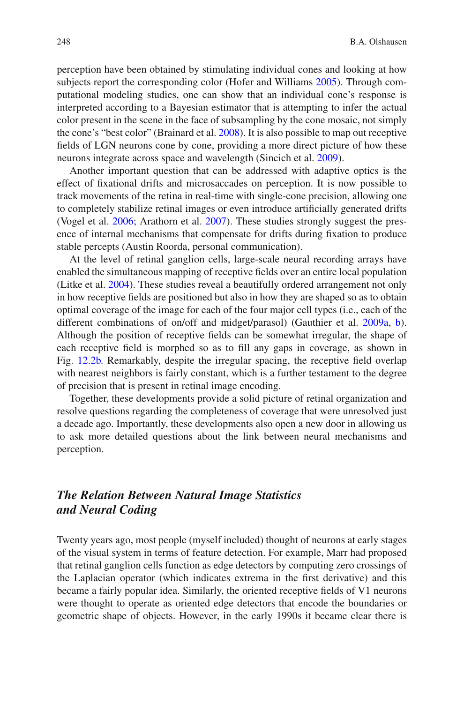perception have been obtained by stimulating individual cones and looking at how subjects report the corresponding color (Hofer and Williams [2005](#page-25-0)). Through computational modeling studies, one can show that an individual cone's response is interpreted according to a Bayesian estimator that is attempting to infer the actual color present in the scene in the face of subsampling by the cone mosaic, not simply the cone's "best color" (Brainard et al. [2008](#page-24-0) ). It is also possible to map out receptive fields of LGN neurons cone by cone, providing a more direct picture of how these neurons integrate across space and wavelength (Sincich et al. [2009](#page-27-0)).

 Another important question that can be addressed with adaptive optics is the effect of fixational drifts and microsaccades on perception. It is now possible to track movements of the retina in real-time with single-cone precision, allowing one to completely stabilize retinal images or even introduce artificially generated drifts (Vogel et al. [2006](#page-27-0); Arathorn et al. 2007). These studies strongly suggest the presence of internal mechanisms that compensate for drifts during fixation to produce stable percepts (Austin Roorda, personal communication).

 At the level of retinal ganglion cells, large-scale neural recording arrays have enabled the simultaneous mapping of receptive fields over an entire local population (Litke et al. 2004). These studies reveal a beautifully ordered arrangement not only in how receptive fields are positioned but also in how they are shaped so as to obtain optimal coverage of the image for each of the four major cell types (i.e., each of the different combinations of on/off and midget/parasol) (Gauthier et al.  $2009a$ , b). Although the position of receptive fields can be somewhat irregular, the shape of each receptive field is morphed so as to fill any gaps in coverage, as shown in Fig. [12.2b](#page-4-0). Remarkably, despite the irregular spacing, the receptive field overlap with nearest neighbors is fairly constant, which is a further testament to the degree of precision that is present in retinal image encoding.

 Together, these developments provide a solid picture of retinal organization and resolve questions regarding the completeness of coverage that were unresolved just a decade ago. Importantly, these developments also open a new door in allowing us to ask more detailed questions about the link between neural mechanisms and perception.

# *The Relation Between Natural Image Statistics and Neural Coding*

 Twenty years ago, most people (myself included) thought of neurons at early stages of the visual system in terms of feature detection. For example, Marr had proposed that retinal ganglion cells function as edge detectors by computing zero crossings of the Laplacian operator (which indicates extrema in the first derivative) and this became a fairly popular idea. Similarly, the oriented receptive fields of V1 neurons were thought to operate as oriented edge detectors that encode the boundaries or geometric shape of objects. However, in the early 1990s it became clear there is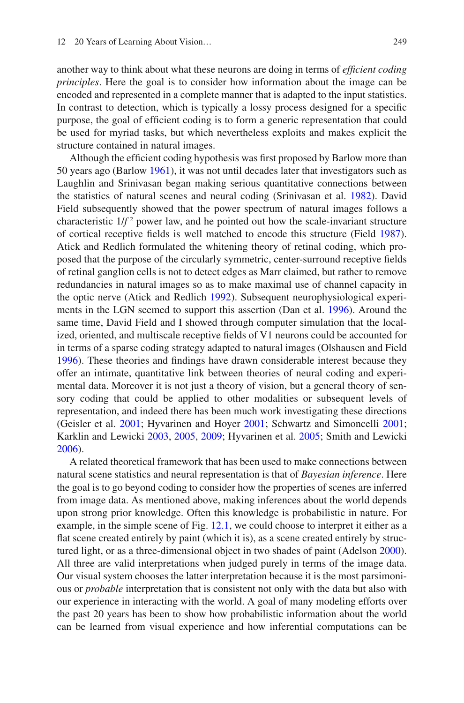another way to think about what these neurons are doing in terms of *efficient coding principles* . Here the goal is to consider how information about the image can be encoded and represented in a complete manner that is adapted to the input statistics. In contrast to detection, which is typically a lossy process designed for a specific purpose, the goal of efficient coding is to form a generic representation that could be used for myriad tasks, but which nevertheless exploits and makes explicit the structure contained in natural images.

Although the efficient coding hypothesis was first proposed by Barlow more than 50 years ago (Barlow [1961 \)](#page-23-0), it was not until decades later that investigators such as Laughlin and Srinivasan began making serious quantitative connections between the statistics of natural scenes and neural coding (Srinivasan et al. [1982 \)](#page-27-0). David Field subsequently showed that the power spectrum of natural images follows a characteristic  $1/f^2$  power law, and he pointed out how the scale-invariant structure of cortical receptive fields is well matched to encode this structure (Field 1987). Atick and Redlich formulated the whitening theory of retinal coding, which proposed that the purpose of the circularly symmetric, center-surround receptive fields of retinal ganglion cells is not to detect edges as Marr claimed, but rather to remove redundancies in natural images so as to make maximal use of channel capacity in the optic nerve (Atick and Redlich 1992). Subsequent neurophysiological experiments in the LGN seemed to support this assertion (Dan et al. 1996). Around the same time, David Field and I showed through computer simulation that the localized, oriented, and multiscale receptive fields of  $V1$  neurons could be accounted for in terms of a sparse coding strategy adapted to natural images (Olshausen and Field 1996). These theories and findings have drawn considerable interest because they offer an intimate, quantitative link between theories of neural coding and experimental data. Moreover it is not just a theory of vision, but a general theory of sensory coding that could be applied to other modalities or subsequent levels of representation, and indeed there has been much work investigating these directions (Geisler et al. [2001](#page-25-0); Hyvarinen and Hoyer 2001; Schwartz and Simoncelli 2001; Karklin and Lewicki 2003, [2005](#page-25-0), [2009](#page-25-0); Hyvarinen et al. [2005](#page-25-0); Smith and Lewicki  $2006$ ).

 A related theoretical framework that has been used to make connections between natural scene statistics and neural representation is that of *Bayesian inference* . Here the goal is to go beyond coding to consider how the properties of scenes are inferred from image data. As mentioned above, making inferences about the world depends upon strong prior knowledge. Often this knowledge is probabilistic in nature. For example, in the simple scene of Fig. [12.1](#page-2-0), we could choose to interpret it either as a flat scene created entirely by paint (which it is), as a scene created entirely by structured light, or as a three-dimensional object in two shades of paint (Adelson 2000). All three are valid interpretations when judged purely in terms of the image data. Our visual system chooses the latter interpretation because it is the most parsimonious or *probable* interpretation that is consistent not only with the data but also with our experience in interacting with the world. A goal of many modeling efforts over the past 20 years has been to show how probabilistic information about the world can be learned from visual experience and how inferential computations can be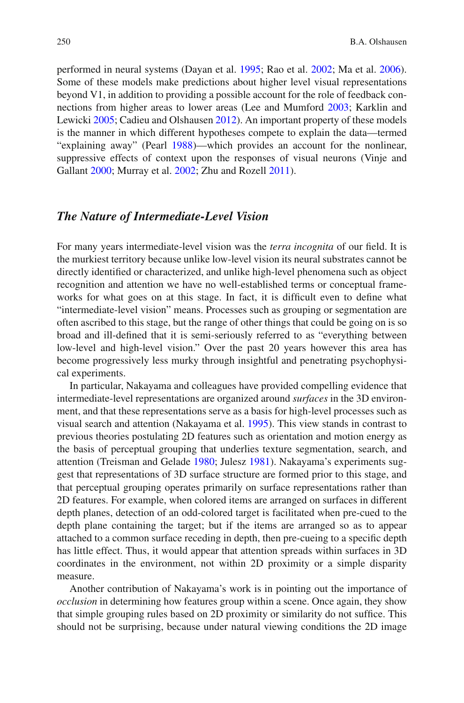performed in neural systems (Dayan et al. [1995](#page-24-0); Rao et al. 2002; Ma et al. 2006). Some of these models make predictions about higher level visual representations beyond V1, in addition to providing a possible account for the role of feedback connections from higher areas to lower areas (Lee and Mumford 2003; Karklin and Lewicki [2005](#page-25-0); Cadieu and Olshausen [2012](#page-24-0)). An important property of these models is the manner in which different hypotheses compete to explain the data—termed "explaining away" (Pearl 1988)—which provides an account for the nonlinear, suppressive effects of context upon the responses of visual neurons (Vinje and Gallant 2000; Murray et al. 2002; Zhu and Rozell 2011).

#### *The Nature of Intermediate-Level Vision*

For many years intermediate-level vision was the *terra incognita* of our field. It is the murkiest territory because unlike low-level vision its neural substrates cannot be directly identified or characterized, and unlike high-level phenomena such as object recognition and attention we have no well-established terms or conceptual frameworks for what goes on at this stage. In fact, it is difficult even to define what "intermediate-level vision" means. Processes such as grouping or segmentation are often ascribed to this stage, but the range of other things that could be going on is so broad and ill-defined that it is semi-seriously referred to as "everything between low-level and high-level vision." Over the past 20 years however this area has become progressively less murky through insightful and penetrating psychophysical experiments.

 In particular, Nakayama and colleagues have provided compelling evidence that intermediate-level representations are organized around *surfaces* in the 3D environment, and that these representations serve as a basis for high-level processes such as visual search and attention (Nakayama et al. [1995](#page-26-0) ). This view stands in contrast to previous theories postulating 2D features such as orientation and motion energy as the basis of perceptual grouping that underlies texture segmentation, search, and attention (Treisman and Gelade [1980](#page-27-0); Julesz [1981](#page-25-0)). Nakayama's experiments suggest that representations of 3D surface structure are formed prior to this stage, and that perceptual grouping operates primarily on surface representations rather than 2D features. For example, when colored items are arranged on surfaces in different depth planes, detection of an odd-colored target is facilitated when pre-cued to the depth plane containing the target; but if the items are arranged so as to appear attached to a common surface receding in depth, then pre-cueing to a specific depth has little effect. Thus, it would appear that attention spreads within surfaces in 3D coordinates in the environment, not within 2D proximity or a simple disparity measure.

 Another contribution of Nakayama's work is in pointing out the importance of *occlusion* in determining how features group within a scene. Once again, they show that simple grouping rules based on 2D proximity or similarity do not suffice. This should not be surprising, because under natural viewing conditions the 2D image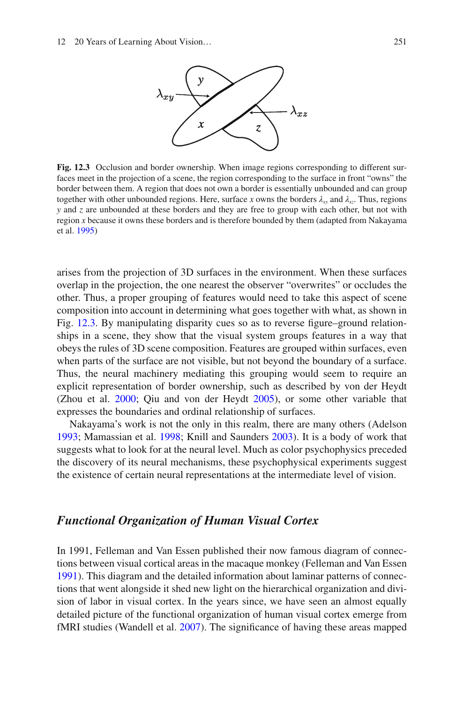

 **Fig. 12.3** Occlusion and border ownership. When image regions corresponding to different surfaces meet in the projection of a scene, the region corresponding to the surface in front "owns" the border between them. A region that does not own a border is essentially unbounded and can group together with other unbounded regions. Here, surface *x* owns the borders  $\lambda_{xy}$  and  $\lambda_{yz}$ . Thus, regions *y* and *z* are unbounded at these borders and they are free to group with each other, but not with region *x* because it owns these borders and is therefore bounded by them (adapted from Nakayama et al. 1995)

arises from the projection of 3D surfaces in the environment. When these surfaces overlap in the projection, the one nearest the observer "overwrites" or occludes the other. Thus, a proper grouping of features would need to take this aspect of scene composition into account in determining what goes together with what, as shown in Fig. 12.3. By manipulating disparity cues so as to reverse figure–ground relationships in a scene, they show that the visual system groups features in a way that obeys the rules of 3D scene composition. Features are grouped within surfaces, even when parts of the surface are not visible, but not beyond the boundary of a surface. Thus, the neural machinery mediating this grouping would seem to require an explicit representation of border ownership, such as described by von der Heydt (Zhou et al.  $2000$ ; Qiu and von der Heydt  $2005$ ), or some other variable that expresses the boundaries and ordinal relationship of surfaces.

 Nakayama's work is not the only in this realm, there are many others (Adelson 1993; Mamassian et al. [1998](#page-26-0); Knill and Saunders 2003). It is a body of work that suggests what to look for at the neural level. Much as color psychophysics preceded the discovery of its neural mechanisms, these psychophysical experiments suggest the existence of certain neural representations at the intermediate level of vision.

# *Functional Organization of Human Visual Cortex*

 In 1991, Felleman and Van Essen published their now famous diagram of connections between visual cortical areas in the macaque monkey (Felleman and Van Essen [1991 \)](#page-24-0). This diagram and the detailed information about laminar patterns of connections that went alongside it shed new light on the hierarchical organization and division of labor in visual cortex. In the years since, we have seen an almost equally detailed picture of the functional organization of human visual cortex emerge from fMRI studies (Wandell et al. [2007](#page-27-0)). The significance of having these areas mapped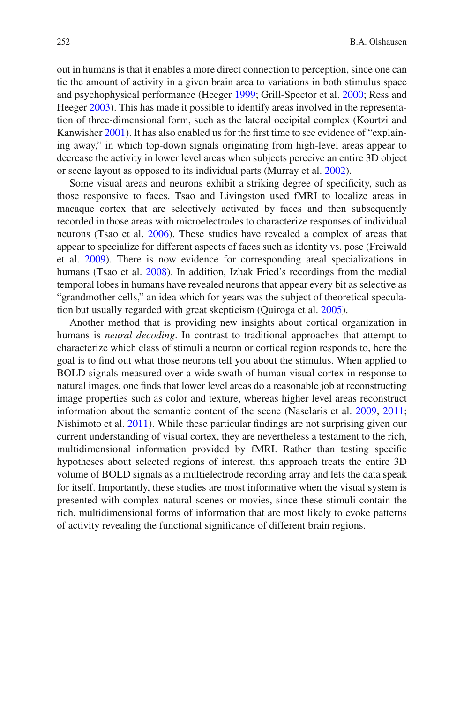out in humans is that it enables a more direct connection to perception, since one can tie the amount of activity in a given brain area to variations in both stimulus space and psychophysical performance (Heeger [1999](#page-25-0); Grill-Spector et al. [2000](#page-25-0); Ress and Heeger 2003). This has made it possible to identify areas involved in the representation of three-dimensional form, such as the lateral occipital complex (Kourtzi and Kanwisher 2001). It has also enabled us for the first time to see evidence of "explaining away," in which top-down signals originating from high-level areas appear to decrease the activity in lower level areas when subjects perceive an entire 3D object or scene layout as opposed to its individual parts (Murray et al. [2002 \)](#page-26-0).

Some visual areas and neurons exhibit a striking degree of specificity, such as those responsive to faces. Tsao and Livingston used fMRI to localize areas in macaque cortex that are selectively activated by faces and then subsequently recorded in those areas with microelectrodes to characterize responses of individual neurons (Tsao et al. [2006](#page-27-0)). These studies have revealed a complex of areas that appear to specialize for different aspects of faces such as identity vs. pose (Freiwald et al. [2009](#page-24-0)). There is now evidence for corresponding areal specializations in humans (Tsao et al. [2008](#page-27-0)). In addition, Izhak Fried's recordings from the medial temporal lobes in humans have revealed neurons that appear every bit as selective as "grandmother cells," an idea which for years was the subject of theoretical specula-tion but usually regarded with great skepticism (Quiroga et al. [2005](#page-26-0)).

 Another method that is providing new insights about cortical organization in humans is *neural decoding*. In contrast to traditional approaches that attempt to characterize which class of stimuli a neuron or cortical region responds to, here the goal is to find out what those neurons tell you about the stimulus. When applied to BOLD signals measured over a wide swath of human visual cortex in response to natural images, one finds that lower level areas do a reasonable job at reconstructing image properties such as color and texture, whereas higher level areas reconstruct information about the semantic content of the scene (Naselaris et al. 2009, 2011; Nishimoto et al. 2011). While these particular findings are not surprising given our current understanding of visual cortex, they are nevertheless a testament to the rich, multidimensional information provided by fMRI. Rather than testing specific hypotheses about selected regions of interest, this approach treats the entire 3D volume of BOLD signals as a multielectrode recording array and lets the data speak for itself. Importantly, these studies are most informative when the visual system is presented with complex natural scenes or movies, since these stimuli contain the rich, multidimensional forms of information that are most likely to evoke patterns of activity revealing the functional significance of different brain regions.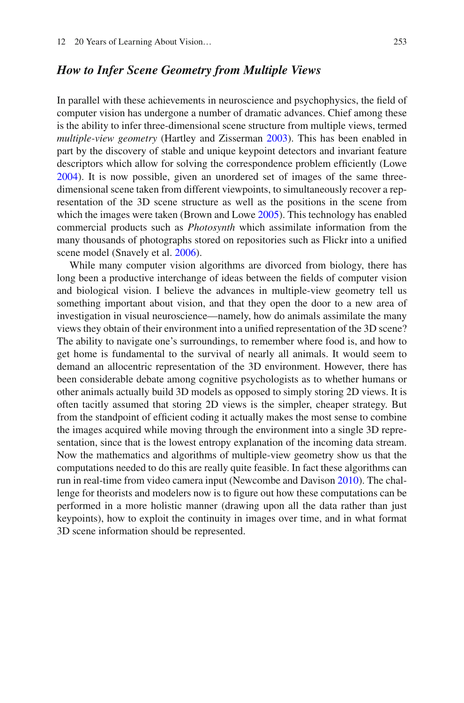### *How to Infer Scene Geometry from Multiple Views*

In parallel with these achievements in neuroscience and psychophysics, the field of computer vision has undergone a number of dramatic advances. Chief among these is the ability to infer three-dimensional scene structure from multiple views, termed *multiple-view geometry* (Hartley and Zisserman 2003). This has been enabled in part by the discovery of stable and unique keypoint detectors and invariant feature descriptors which allow for solving the correspondence problem efficiently (Lowe 2004). It is now possible, given an unordered set of images of the same threedimensional scene taken from different viewpoints, to simultaneously recover a representation of the 3D scene structure as well as the positions in the scene from which the images were taken (Brown and Lowe [2005](#page-24-0)). This technology has enabled commercial products such as *Photosynth* which assimilate information from the many thousands of photographs stored on repositories such as Flickr into a unified scene model (Snavely et al. 2006).

 While many computer vision algorithms are divorced from biology, there has long been a productive interchange of ideas between the fields of computer vision and biological vision. I believe the advances in multiple-view geometry tell us something important about vision, and that they open the door to a new area of investigation in visual neuroscience—namely, how do animals assimilate the many views they obtain of their environment into a unified representation of the 3D scene? The ability to navigate one's surroundings, to remember where food is, and how to get home is fundamental to the survival of nearly all animals. It would seem to demand an allocentric representation of the 3D environment. However, there has been considerable debate among cognitive psychologists as to whether humans or other animals actually build 3D models as opposed to simply storing 2D views. It is often tacitly assumed that storing 2D views is the simpler, cheaper strategy. But from the standpoint of efficient coding it actually makes the most sense to combine the images acquired while moving through the environment into a single 3D representation, since that is the lowest entropy explanation of the incoming data stream. Now the mathematics and algorithms of multiple-view geometry show us that the computations needed to do this are really quite feasible. In fact these algorithms can run in real-time from video camera input (Newcombe and Davison 2010). The challenge for theorists and modelers now is to figure out how these computations can be performed in a more holistic manner (drawing upon all the data rather than just keypoints), how to exploit the continuity in images over time, and in what format 3D scene information should be represented.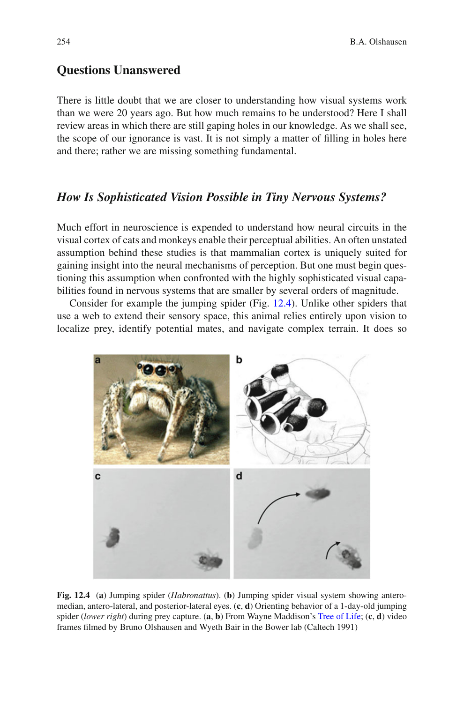#### <span id="page-11-0"></span> **Questions Unanswered**

 There is little doubt that we are closer to understanding how visual systems work than we were 20 years ago. But how much remains to be understood? Here I shall review areas in which there are still gaping holes in our knowledge. As we shall see, the scope of our ignorance is vast. It is not simply a matter of filling in holes here and there; rather we are missing something fundamental.

#### *How Is Sophisticated Vision Possible in Tiny Nervous Systems?*

 Much effort in neuroscience is expended to understand how neural circuits in the visual cortex of cats and monkeys enable their perceptual abilities. An often unstated assumption behind these studies is that mammalian cortex is uniquely suited for gaining insight into the neural mechanisms of perception. But one must begin questioning this assumption when confronted with the highly sophisticated visual capabilities found in nervous systems that are smaller by several orders of magnitude.

 Consider for example the jumping spider (Fig. 12.4 ). Unlike other spiders that use a web to extend their sensory space, this animal relies entirely upon vision to localize prey, identify potential mates, and navigate complex terrain. It does so



**Fig. 12.4** (a) Jumping spider (*Habronattus*). (b) Jumping spider visual system showing anteromedian, antero-lateral, and posterior-lateral eyes. (c, d) Orienting behavior of a 1-day-old jumping spider (lower right) during prey capture. (a, b) From Wayne Maddison's [Tree of Life;](http://www.tolweb.org/tree?group=Salticidae) (c, d) video frames filmed by Bruno Olshausen and Wyeth Bair in the Bower lab (Caltech 1991)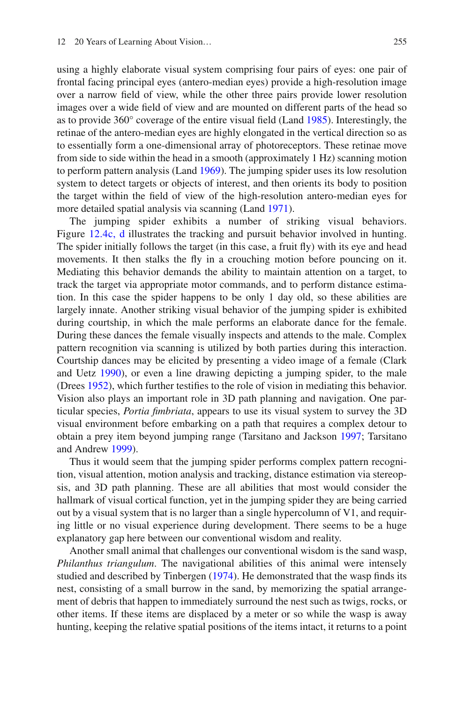using a highly elaborate visual system comprising four pairs of eyes: one pair of frontal facing principal eyes (antero-median eyes) provide a high-resolution image over a narrow field of view, while the other three pairs provide lower resolution images over a wide field of view and are mounted on different parts of the head so as to provide  $360^{\circ}$  coverage of the entire visual field (Land [1985](#page-25-0)). Interestingly, the retinae of the antero-median eyes are highly elongated in the vertical direction so as to essentially form a one-dimensional array of photoreceptors. These retinae move from side to side within the head in a smooth (approximately 1 Hz) scanning motion to perform pattern analysis (Land [1969](#page-25-0)). The jumping spider uses its low resolution system to detect targets or objects of interest, and then orients its body to position the target within the field of view of the high-resolution antero-median eyes for more detailed spatial analysis via scanning (Land 1971).

 The jumping spider exhibits a number of striking visual behaviors. Figure [12.4c, d](#page-11-0) illustrates the tracking and pursuit behavior involved in hunting. The spider initially follows the target (in this case, a fruit  $f(y)$  with its eye and head movements. It then stalks the fly in a crouching motion before pouncing on it. Mediating this behavior demands the ability to maintain attention on a target, to track the target via appropriate motor commands, and to perform distance estimation. In this case the spider happens to be only 1 day old, so these abilities are largely innate. Another striking visual behavior of the jumping spider is exhibited during courtship, in which the male performs an elaborate dance for the female. During these dances the female visually inspects and attends to the male. Complex pattern recognition via scanning is utilized by both parties during this interaction. Courtship dances may be elicited by presenting a video image of a female (Clark and Uetz 1990), or even a line drawing depicting a jumping spider, to the male (Drees  $1952$ ), which further testifies to the role of vision in mediating this behavior. Vision also plays an important role in 3D path planning and navigation. One particular species, *Portia fimbriata*, appears to use its visual system to survey the 3D visual environment before embarking on a path that requires a complex detour to obtain a prey item beyond jumping range (Tarsitano and Jackson 1997; Tarsitano and Andrew [1999](#page-27-0)).

 Thus it would seem that the jumping spider performs complex pattern recognition, visual attention, motion analysis and tracking, distance estimation via stereopsis, and 3D path planning. These are all abilities that most would consider the hallmark of visual cortical function, yet in the jumping spider they are being carried out by a visual system that is no larger than a single hypercolumn of V1, and requiring little or no visual experience during development. There seems to be a huge explanatory gap here between our conventional wisdom and reality.

 Another small animal that challenges our conventional wisdom is the sand wasp, *Philanthus triangulum*. The navigational abilities of this animal were intensely studied and described by Tinbergen (1974). He demonstrated that the wasp finds its nest, consisting of a small burrow in the sand, by memorizing the spatial arrangement of debris that happen to immediately surround the nest such as twigs, rocks, or other items. If these items are displaced by a meter or so while the wasp is away hunting, keeping the relative spatial positions of the items intact, it returns to a point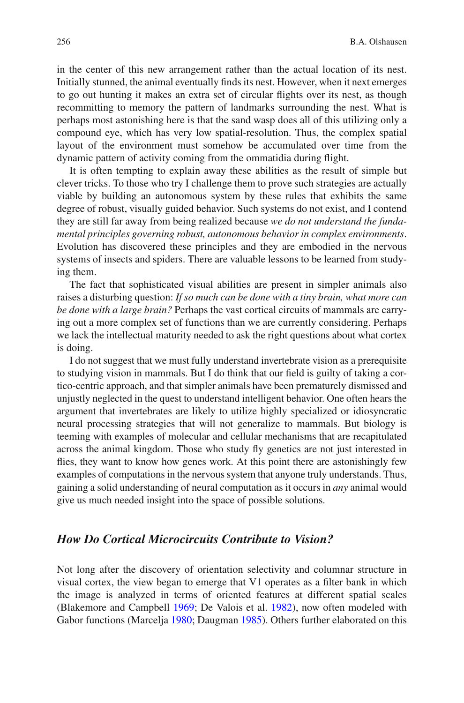in the center of this new arrangement rather than the actual location of its nest. Initially stunned, the animal eventually finds its nest. However, when it next emerges to go out hunting it makes an extra set of circular flights over its nest, as though recommitting to memory the pattern of landmarks surrounding the nest. What is perhaps most astonishing here is that the sand wasp does all of this utilizing only a compound eye, which has very low spatial-resolution. Thus, the complex spatial layout of the environment must somehow be accumulated over time from the dynamic pattern of activity coming from the ommatidia during flight.

 It is often tempting to explain away these abilities as the result of simple but clever tricks. To those who try I challenge them to prove such strategies are actually viable by building an autonomous system by these rules that exhibits the same degree of robust, visually guided behavior. Such systems do not exist, and I contend they are still far away from being realized because *we do not understand the fundamental principles governing robust, autonomous behavior in complex environments* . Evolution has discovered these principles and they are embodied in the nervous systems of insects and spiders. There are valuable lessons to be learned from studying them.

 The fact that sophisticated visual abilities are present in simpler animals also raises a disturbing question: *If so much can be done with a tiny brain, what more can be done with a large brain?* Perhaps the vast cortical circuits of mammals are carrying out a more complex set of functions than we are currently considering. Perhaps we lack the intellectual maturity needed to ask the right questions about what cortex is doing.

 I do not suggest that we must fully understand invertebrate vision as a prerequisite to studying vision in mammals. But I do think that our field is guilty of taking a cortico-centric approach, and that simpler animals have been prematurely dismissed and unjustly neglected in the quest to understand intelligent behavior. One often hears the argument that invertebrates are likely to utilize highly specialized or idiosyncratic neural processing strategies that will not generalize to mammals. But biology is teeming with examples of molecular and cellular mechanisms that are recapitulated across the animal kingdom. Those who study fly genetics are not just interested in flies, they want to know how genes work. At this point there are astonishingly few examples of computations in the nervous system that anyone truly understands. Thus, gaining a solid understanding of neural computation as it occurs in *any* animal would give us much needed insight into the space of possible solutions.

#### *How Do Cortical Microcircuits Contribute to Vision?*

 Not long after the discovery of orientation selectivity and columnar structure in visual cortex, the view began to emerge that V1 operates as a filter bank in which the image is analyzed in terms of oriented features at different spatial scales (Blakemore and Campbell [1969](#page-23-0); De Valois et al. 1982), now often modeled with Gabor functions (Marcelja 1980; Daugman [1985](#page-24-0)). Others further elaborated on this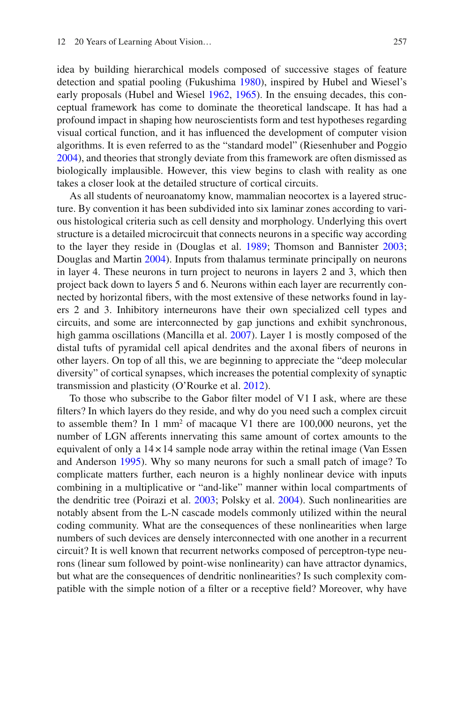idea by building hierarchical models composed of successive stages of feature detection and spatial pooling (Fukushima 1980), inspired by Hubel and Wiesel's early proposals (Hubel and Wiesel [1962](#page-25-0), 1965). In the ensuing decades, this conceptual framework has come to dominate the theoretical landscape. It has had a profound impact in shaping how neuroscientists form and test hypotheses regarding visual cortical function, and it has influenced the development of computer vision algorithms. It is even referred to as the "standard model" (Riesenhuber and Poggio 2004), and theories that strongly deviate from this framework are often dismissed as biologically implausible. However, this view begins to clash with reality as one takes a closer look at the detailed structure of cortical circuits.

 As all students of neuroanatomy know, mammalian neocortex is a layered structure. By convention it has been subdivided into six laminar zones according to various histological criteria such as cell density and morphology. Underlying this overt structure is a detailed microcircuit that connects neurons in a specific way according to the layer they reside in (Douglas et al. [1989](#page-24-0); Thomson and Bannister 2003; Douglas and Martin [2004](#page-24-0)). Inputs from thalamus terminate principally on neurons in layer 4. These neurons in turn project to neurons in layers 2 and 3, which then project back down to layers 5 and 6. Neurons within each layer are recurrently connected by horizontal fibers, with the most extensive of these networks found in layers 2 and 3. Inhibitory interneurons have their own specialized cell types and circuits, and some are interconnected by gap junctions and exhibit synchronous, high gamma oscillations (Mancilla et al. [2007](#page-26-0)). Layer 1 is mostly composed of the distal tufts of pyramidal cell apical dendrites and the axonal fibers of neurons in other layers. On top of all this, we are beginning to appreciate the "deep molecular diversity" of cortical synapses, which increases the potential complexity of synaptic transmission and plasticity (O'Rourke et al. 2012).

To those who subscribe to the Gabor filter model of V1 I ask, where are these filters? In which layers do they reside, and why do you need such a complex circuit to assemble them? In  $1 \text{ mm}^2$  of macaque V1 there are 100,000 neurons, yet the number of LGN afferents innervating this same amount of cortex amounts to the equivalent of only a  $14 \times 14$  sample node array within the retinal image (Van Essen and Anderson 1995). Why so many neurons for such a small patch of image? To complicate matters further, each neuron is a highly nonlinear device with inputs combining in a multiplicative or "and-like" manner within local compartments of the dendritic tree (Poirazi et al. [2003](#page-26-0); Polsky et al. 2004). Such nonlinearities are notably absent from the L-N cascade models commonly utilized within the neural coding community. What are the consequences of these nonlinearities when large numbers of such devices are densely interconnected with one another in a recurrent circuit? It is well known that recurrent networks composed of perceptron-type neurons (linear sum followed by point-wise nonlinearity) can have attractor dynamics, but what are the consequences of dendritic nonlinearities? Is such complexity compatible with the simple notion of a filter or a receptive field? Moreover, why have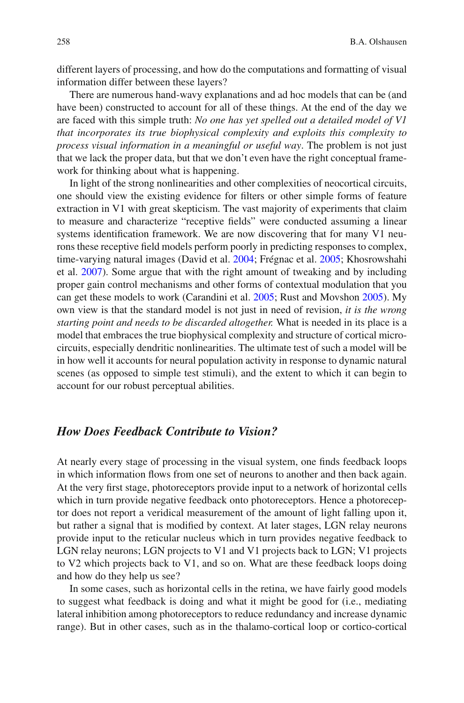different layers of processing, and how do the computations and formatting of visual information differ between these layers?

 There are numerous hand-wavy explanations and ad hoc models that can be (and have been) constructed to account for all of these things. At the end of the day we are faced with this simple truth: *No one has yet spelled out a detailed model of V1 that incorporates its true biophysical complexity and exploits this complexity to process visual information in a meaningful or useful way* . The problem is not just that we lack the proper data, but that we don't even have the right conceptual framework for thinking about what is happening.

 In light of the strong nonlinearities and other complexities of neocortical circuits, one should view the existing evidence for filters or other simple forms of feature extraction in V1 with great skepticism. The vast majority of experiments that claim to measure and characterize "receptive fields" were conducted assuming a linear systems identification framework. We are now discovering that for many V1 neurons these receptive field models perform poorly in predicting responses to complex, time-varying natural images (David et al. 2004; Frégnac et al. 2005; Khosrowshahi et al. [2007 \)](#page-25-0). Some argue that with the right amount of tweaking and by including proper gain control mechanisms and other forms of contextual modulation that you can get these models to work (Carandini et al. [2005](#page-27-0); Rust and Movshon 2005). My own view is that the standard model is not just in need of revision, *it is the wrong starting point and needs to be discarded altogether.* What is needed in its place is a model that embraces the true biophysical complexity and structure of cortical microcircuits, especially dendritic nonlinearities. The ultimate test of such a model will be in how well it accounts for neural population activity in response to dynamic natural scenes (as opposed to simple test stimuli), and the extent to which it can begin to account for our robust perceptual abilities.

#### *How Does Feedback Contribute to Vision?*

At nearly every stage of processing in the visual system, one finds feedback loops in which information flows from one set of neurons to another and then back again. At the very first stage, photoreceptors provide input to a network of horizontal cells which in turn provide negative feedback onto photoreceptors. Hence a photoreceptor does not report a veridical measurement of the amount of light falling upon it, but rather a signal that is modified by context. At later stages, LGN relay neurons provide input to the reticular nucleus which in turn provides negative feedback to LGN relay neurons; LGN projects to V1 and V1 projects back to LGN; V1 projects to V2 which projects back to V1, and so on. What are these feedback loops doing and how do they help us see?

 In some cases, such as horizontal cells in the retina, we have fairly good models to suggest what feedback is doing and what it might be good for (i.e., mediating lateral inhibition among photoreceptors to reduce redundancy and increase dynamic range). But in other cases, such as in the thalamo-cortical loop or cortico-cortical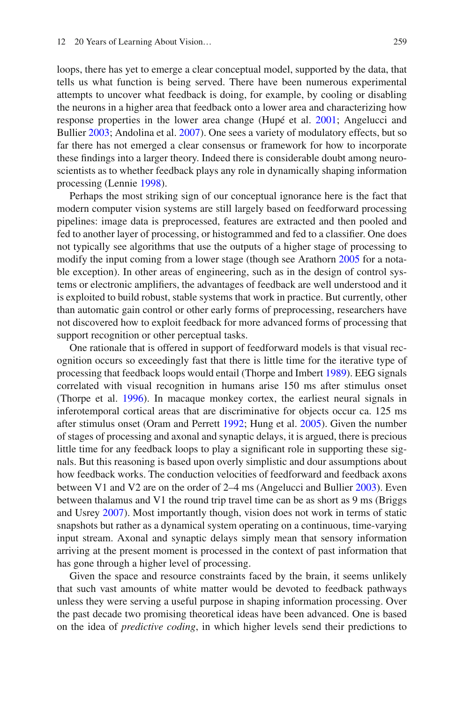loops, there has yet to emerge a clear conceptual model, supported by the data, that tells us what function is being served. There have been numerous experimental attempts to uncover what feedback is doing, for example, by cooling or disabling the neurons in a higher area that feedback onto a lower area and characterizing how response properties in the lower area change (Hupé et al. [2001](#page-25-0); Angelucci and Bullier 2003; Andolina et al. 2007). One sees a variety of modulatory effects, but so far there has not emerged a clear consensus or framework for how to incorporate these findings into a larger theory. Indeed there is considerable doubt among neuroscientists as to whether feedback plays any role in dynamically shaping information processing (Lennie 1998).

 Perhaps the most striking sign of our conceptual ignorance here is the fact that modern computer vision systems are still largely based on feedforward processing pipelines: image data is preprocessed, features are extracted and then pooled and fed to another layer of processing, or histogrammed and fed to a classifier. One does not typically see algorithms that use the outputs of a higher stage of processing to modify the input coming from a lower stage (though see Arathorn [2005](#page-23-0) for a notable exception). In other areas of engineering, such as in the design of control systems or electronic amplifiers, the advantages of feedback are well understood and it is exploited to build robust, stable systems that work in practice. But currently, other than automatic gain control or other early forms of preprocessing, researchers have not discovered how to exploit feedback for more advanced forms of processing that support recognition or other perceptual tasks.

 One rationale that is offered in support of feedforward models is that visual recognition occurs so exceedingly fast that there is little time for the iterative type of processing that feedback loops would entail (Thorpe and Imbert [1989](#page-27-0) ). EEG signals correlated with visual recognition in humans arise 150 ms after stimulus onset (Thorpe et al.  $1996$ ). In macaque monkey cortex, the earliest neural signals in inferotemporal cortical areas that are discriminative for objects occur ca. 125 ms after stimulus onset (Oram and Perrett [1992](#page-26-0); Hung et al. [2005](#page-25-0)). Given the number of stages of processing and axonal and synaptic delays, it is argued, there is precious little time for any feedback loops to play a significant role in supporting these signals. But this reasoning is based upon overly simplistic and dour assumptions about how feedback works. The conduction velocities of feedforward and feedback axons between V1 and V2 are on the order of 2–4 ms (Angelucci and Bullier 2003). Even between thalamus and V1 the round trip travel time can be as short as 9 ms (Briggs and Usrey [2007](#page-24-0)). Most importantly though, vision does not work in terms of static snapshots but rather as a dynamical system operating on a continuous, time-varying input stream. Axonal and synaptic delays simply mean that sensory information arriving at the present moment is processed in the context of past information that has gone through a higher level of processing.

 Given the space and resource constraints faced by the brain, it seems unlikely that such vast amounts of white matter would be devoted to feedback pathways unless they were serving a useful purpose in shaping information processing. Over the past decade two promising theoretical ideas have been advanced. One is based on the idea of *predictive coding* , in which higher levels send their predictions to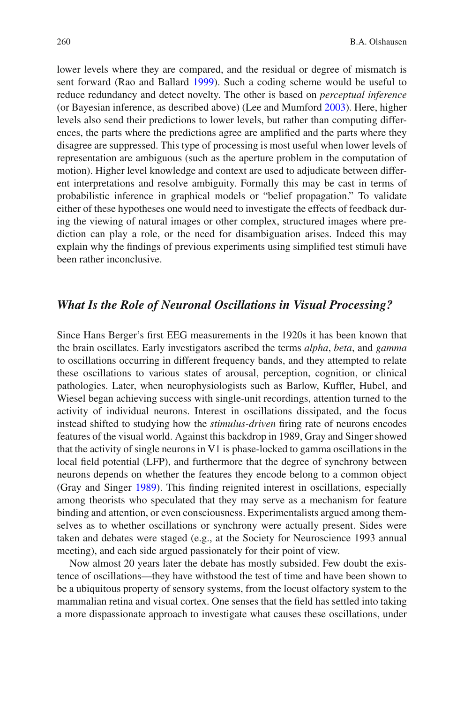lower levels where they are compared, and the residual or degree of mismatch is sent forward (Rao and Ballard 1999). Such a coding scheme would be useful to reduce redundancy and detect novelty. The other is based on *perceptual inference* (or Bayesian inference, as described above) (Lee and Mumford [2003 \)](#page-25-0). Here, higher levels also send their predictions to lower levels, but rather than computing differences, the parts where the predictions agree are amplified and the parts where they disagree are suppressed. This type of processing is most useful when lower levels of representation are ambiguous (such as the aperture problem in the computation of motion). Higher level knowledge and context are used to adjudicate between different interpretations and resolve ambiguity. Formally this may be cast in terms of probabilistic inference in graphical models or "belief propagation." To validate either of these hypotheses one would need to investigate the effects of feedback during the viewing of natural images or other complex, structured images where prediction can play a role, or the need for disambiguation arises. Indeed this may explain why the findings of previous experiments using simplified test stimuli have been rather inconclusive.

#### *What Is the Role of Neuronal Oscillations in Visual Processing?*

Since Hans Berger's first EEG measurements in the 1920s it has been known that the brain oscillates. Early investigators ascribed the terms *alpha* , *beta* , and *gamma* to oscillations occurring in different frequency bands, and they attempted to relate these oscillations to various states of arousal, perception, cognition, or clinical pathologies. Later, when neurophysiologists such as Barlow, Kuffler, Hubel, and Wiesel began achieving success with single-unit recordings, attention turned to the activity of individual neurons. Interest in oscillations dissipated, and the focus instead shifted to studying how the *stimulus-driven* firing rate of neurons encodes features of the visual world. Against this backdrop in 1989, Gray and Singer showed that the activity of single neurons in V1 is phase-locked to gamma oscillations in the local field potential (LFP), and furthermore that the degree of synchrony between neurons depends on whether the features they encode belong to a common object (Gray and Singer [1989](#page-24-0)). This finding reignited interest in oscillations, especially among theorists who speculated that they may serve as a mechanism for feature binding and attention, or even consciousness. Experimentalists argued among themselves as to whether oscillations or synchrony were actually present. Sides were taken and debates were staged (e.g., at the Society for Neuroscience 1993 annual meeting), and each side argued passionately for their point of view.

 Now almost 20 years later the debate has mostly subsided. Few doubt the existence of oscillations—they have withstood the test of time and have been shown to be a ubiquitous property of sensory systems, from the locust olfactory system to the mammalian retina and visual cortex. One senses that the field has settled into taking a more dispassionate approach to investigate what causes these oscillations, under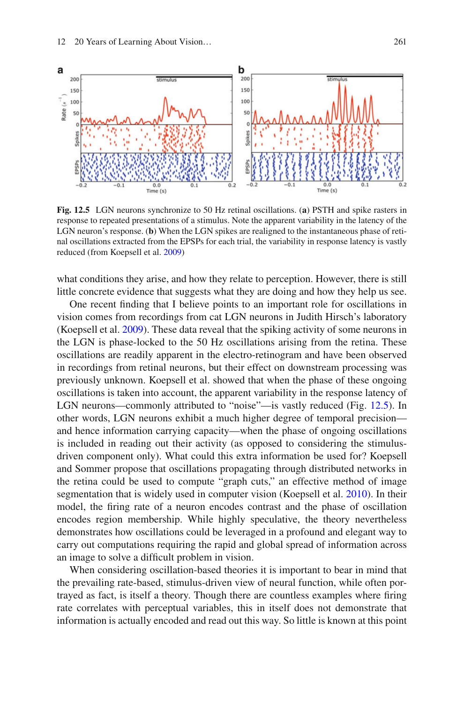

 **Fig. 12.5** LGN neurons synchronize to 50 Hz retinal oscillations. ( **a** ) PSTH and spike rasters in response to repeated presentations of a stimulus. Note the apparent variability in the latency of the LGN neuron's response. (**b**) When the LGN spikes are realigned to the instantaneous phase of retinal oscillations extracted from the EPSPs for each trial, the variability in response latency is vastly reduced (from Koepsell et al. [2009](#page-25-0))

what conditions they arise, and how they relate to perception. However, there is still little concrete evidence that suggests what they are doing and how they help us see.

One recent finding that I believe points to an important role for oscillations in vision comes from recordings from cat LGN neurons in Judith Hirsch's laboratory (Koepsell et al. 2009). These data reveal that the spiking activity of some neurons in the LGN is phase-locked to the 50 Hz oscillations arising from the retina. These oscillations are readily apparent in the electro-retinogram and have been observed in recordings from retinal neurons, but their effect on downstream processing was previously unknown. Koepsell et al. showed that when the phase of these ongoing oscillations is taken into account, the apparent variability in the response latency of LGN neurons—commonly attributed to "noise"—is vastly reduced (Fig. 12.5). In other words, LGN neurons exhibit a much higher degree of temporal precision and hence information carrying capacity—when the phase of ongoing oscillations is included in reading out their activity (as opposed to considering the stimulusdriven component only). What could this extra information be used for? Koepsell and Sommer propose that oscillations propagating through distributed networks in the retina could be used to compute "graph cuts," an effective method of image segmentation that is widely used in computer vision (Koepsell et al. 2010). In their model, the firing rate of a neuron encodes contrast and the phase of oscillation encodes region membership. While highly speculative, the theory nevertheless demonstrates how oscillations could be leveraged in a profound and elegant way to carry out computations requiring the rapid and global spread of information across an image to solve a difficult problem in vision.

 When considering oscillation-based theories it is important to bear in mind that the prevailing rate-based, stimulus-driven view of neural function, while often portrayed as fact, is itself a theory. Though there are countless examples where firing rate correlates with perceptual variables, this in itself does not demonstrate that information is actually encoded and read out this way. So little is known at this point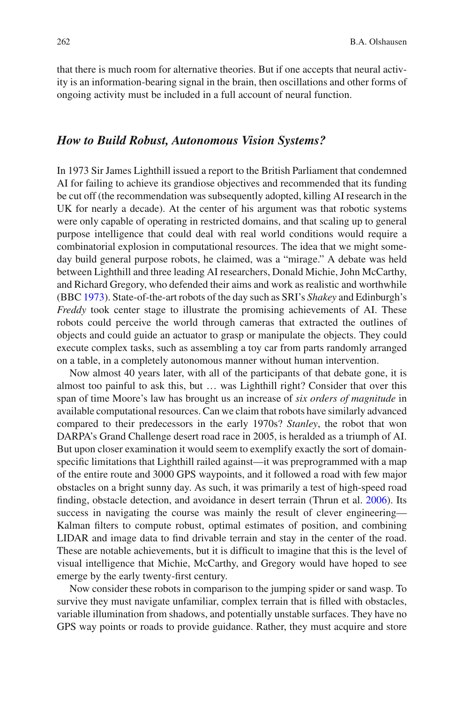that there is much room for alternative theories. But if one accepts that neural activity is an information-bearing signal in the brain, then oscillations and other forms of ongoing activity must be included in a full account of neural function.

#### *How to Build Robust, Autonomous Vision Systems?*

 In 1973 Sir James Lighthill issued a report to the British Parliament that condemned AI for failing to achieve its grandiose objectives and recommended that its funding be cut off (the recommendation was subsequently adopted, killing AI research in the UK for nearly a decade). At the center of his argument was that robotic systems were only capable of operating in restricted domains, and that scaling up to general purpose intelligence that could deal with real world conditions would require a combinatorial explosion in computational resources. The idea that we might someday build general purpose robots, he claimed, was a "mirage." A debate was held between Lighthill and three leading AI researchers, Donald Michie, John McCarthy, and Richard Gregory, who defended their aims and work as realistic and worthwhile (BBC [1973](#page-23-0) ). State-of-the-art robots of the day such as SRI's *Shakey* and Edinburgh's *Freddy* took center stage to illustrate the promising achievements of AI. These robots could perceive the world through cameras that extracted the outlines of objects and could guide an actuator to grasp or manipulate the objects. They could execute complex tasks, such as assembling a toy car from parts randomly arranged on a table, in a completely autonomous manner without human intervention.

 Now almost 40 years later, with all of the participants of that debate gone, it is almost too painful to ask this, but … was Lighthill right? Consider that over this span of time Moore's law has brought us an increase of *six orders of magnitude* in available computational resources. Can we claim that robots have similarly advanced compared to their predecessors in the early 1970s? *Stanley* , the robot that won DARPA's Grand Challenge desert road race in 2005, is heralded as a triumph of AI. But upon closer examination it would seem to exemplify exactly the sort of domainspecific limitations that Lighthill railed against—it was preprogrammed with a map of the entire route and 3000 GPS waypoints, and it followed a road with few major obstacles on a bright sunny day. As such, it was primarily a test of high-speed road finding, obstacle detection, and avoidance in desert terrain (Thrun et al. 2006). Its success in navigating the course was mainly the result of clever engineering— Kalman filters to compute robust, optimal estimates of position, and combining LIDAR and image data to find drivable terrain and stay in the center of the road. These are notable achievements, but it is difficult to imagine that this is the level of visual intelligence that Michie, McCarthy, and Gregory would have hoped to see emerge by the early twenty-first century.

 Now consider these robots in comparison to the jumping spider or sand wasp. To survive they must navigate unfamiliar, complex terrain that is filled with obstacles, variable illumination from shadows, and potentially unstable surfaces. They have no GPS way points or roads to provide guidance. Rather, they must acquire and store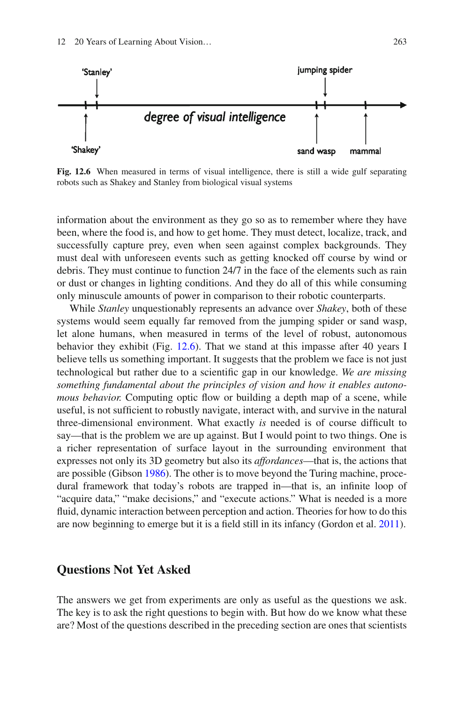

 **Fig. 12.6** When measured in terms of visual intelligence, there is still a wide gulf separating robots such as Shakey and Stanley from biological visual systems

information about the environment as they go so as to remember where they have been, where the food is, and how to get home. They must detect, localize, track, and successfully capture prey, even when seen against complex backgrounds. They must deal with unforeseen events such as getting knocked off course by wind or debris. They must continue to function 24/7 in the face of the elements such as rain or dust or changes in lighting conditions. And they do all of this while consuming only minuscule amounts of power in comparison to their robotic counterparts.

 While *Stanley* unquestionably represents an advance over *Shakey* , both of these systems would seem equally far removed from the jumping spider or sand wasp, let alone humans, when measured in terms of the level of robust, autonomous behavior they exhibit (Fig. 12.6 ). That we stand at this impasse after 40 years I believe tells us something important. It suggests that the problem we face is not just technological but rather due to a scientific gap in our knowledge. We are missing *something fundamental about the principles of vision and how it enables autonomous behavior.* Computing optic flow or building a depth map of a scene, while useful, is not sufficient to robustly navigate, interact with, and survive in the natural three-dimensional environment. What exactly *is* needed is of course difficult to say—that is the problem we are up against. But I would point to two things. One is a richer representation of surface layout in the surrounding environment that expresses not only its 3D geometry but also its *affordances* —that is, the actions that are possible (Gibson 1986). The other is to move beyond the Turing machine, procedural framework that today's robots are trapped in—that is, an infinite loop of "acquire data," "make decisions," and "execute actions." What is needed is a more fluid, dynamic interaction between perception and action. Theories for how to do this are now beginning to emerge but it is a field still in its infancy (Gordon et al.  $2011$ ).

## **Questions Not Yet Asked**

 The answers we get from experiments are only as useful as the questions we ask. The key is to ask the right questions to begin with. But how do we know what these are? Most of the questions described in the preceding section are ones that scientists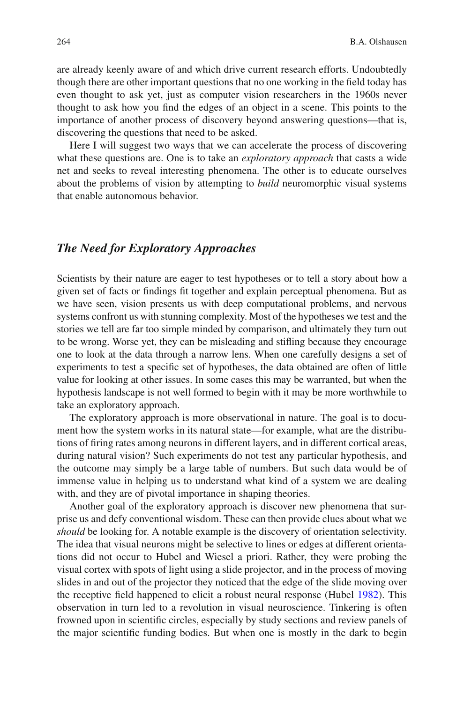are already keenly aware of and which drive current research efforts. Undoubtedly though there are other important questions that no one working in the field today has even thought to ask yet, just as computer vision researchers in the 1960s never thought to ask how you find the edges of an object in a scene. This points to the importance of another process of discovery beyond answering questions—that is, discovering the questions that need to be asked.

 Here I will suggest two ways that we can accelerate the process of discovering what these questions are. One is to take an *exploratory approach* that casts a wide net and seeks to reveal interesting phenomena. The other is to educate ourselves about the problems of vision by attempting to *build* neuromorphic visual systems that enable autonomous behavior.

## *The Need for Exploratory Approaches*

 Scientists by their nature are eager to test hypotheses or to tell a story about how a given set of facts or findings fit together and explain perceptual phenomena. But as we have seen, vision presents us with deep computational problems, and nervous systems confront us with stunning complexity. Most of the hypotheses we test and the stories we tell are far too simple minded by comparison, and ultimately they turn out to be wrong. Worse yet, they can be misleading and stifling because they encourage one to look at the data through a narrow lens. When one carefully designs a set of experiments to test a specific set of hypotheses, the data obtained are often of little value for looking at other issues. In some cases this may be warranted, but when the hypothesis landscape is not well formed to begin with it may be more worthwhile to take an exploratory approach.

 The exploratory approach is more observational in nature. The goal is to document how the system works in its natural state—for example, what are the distributions of firing rates among neurons in different layers, and in different cortical areas, during natural vision? Such experiments do not test any particular hypothesis, and the outcome may simply be a large table of numbers. But such data would be of immense value in helping us to understand what kind of a system we are dealing with, and they are of pivotal importance in shaping theories.

 Another goal of the exploratory approach is discover new phenomena that surprise us and defy conventional wisdom. These can then provide clues about what we *should* be looking for. A notable example is the discovery of orientation selectivity. The idea that visual neurons might be selective to lines or edges at different orientations did not occur to Hubel and Wiesel a priori. Rather, they were probing the visual cortex with spots of light using a slide projector, and in the process of moving slides in and out of the projector they noticed that the edge of the slide moving over the receptive field happened to elicit a robust neural response (Hubel 1982). This observation in turn led to a revolution in visual neuroscience. Tinkering is often frowned upon in scientific circles, especially by study sections and review panels of the major scientific funding bodies. But when one is mostly in the dark to begin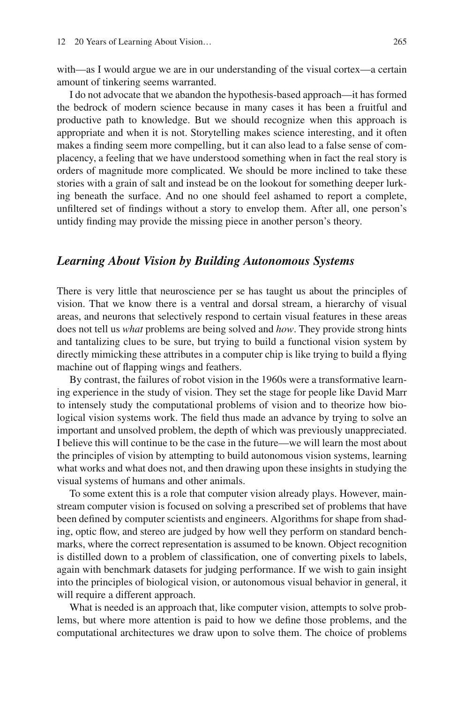with—as I would argue we are in our understanding of the visual cortex—a certain amount of tinkering seems warranted.

 I do not advocate that we abandon the hypothesis-based approach—it has formed the bedrock of modern science because in many cases it has been a fruitful and productive path to knowledge. But we should recognize when this approach is appropriate and when it is not. Storytelling makes science interesting, and it often makes a finding seem more compelling, but it can also lead to a false sense of complacency, a feeling that we have understood something when in fact the real story is orders of magnitude more complicated. We should be more inclined to take these stories with a grain of salt and instead be on the lookout for something deeper lurking beneath the surface. And no one should feel ashamed to report a complete, unfiltered set of findings without a story to envelop them. After all, one person's untidy finding may provide the missing piece in another person's theory.

## *Learning About Vision by Building Autonomous Systems*

 There is very little that neuroscience per se has taught us about the principles of vision. That we know there is a ventral and dorsal stream, a hierarchy of visual areas, and neurons that selectively respond to certain visual features in these areas does not tell us *what* problems are being solved and *how* . They provide strong hints and tantalizing clues to be sure, but trying to build a functional vision system by directly mimicking these attributes in a computer chip is like trying to build a flying machine out of flapping wings and feathers.

 By contrast, the failures of robot vision in the 1960s were a transformative learning experience in the study of vision. They set the stage for people like David Marr to intensely study the computational problems of vision and to theorize how biological vision systems work. The field thus made an advance by trying to solve an important and unsolved problem, the depth of which was previously unappreciated. I believe this will continue to be the case in the future—we will learn the most about the principles of vision by attempting to build autonomous vision systems, learning what works and what does not, and then drawing upon these insights in studying the visual systems of humans and other animals.

 To some extent this is a role that computer vision already plays. However, mainstream computer vision is focused on solving a prescribed set of problems that have been defined by computer scientists and engineers. Algorithms for shape from shading, optic flow, and stereo are judged by how well they perform on standard benchmarks, where the correct representation is assumed to be known. Object recognition is distilled down to a problem of classification, one of converting pixels to labels, again with benchmark datasets for judging performance. If we wish to gain insight into the principles of biological vision, or autonomous visual behavior in general, it will require a different approach.

What is needed is an approach that, like computer vision, attempts to solve problems, but where more attention is paid to how we define those problems, and the computational architectures we draw upon to solve them. The choice of problems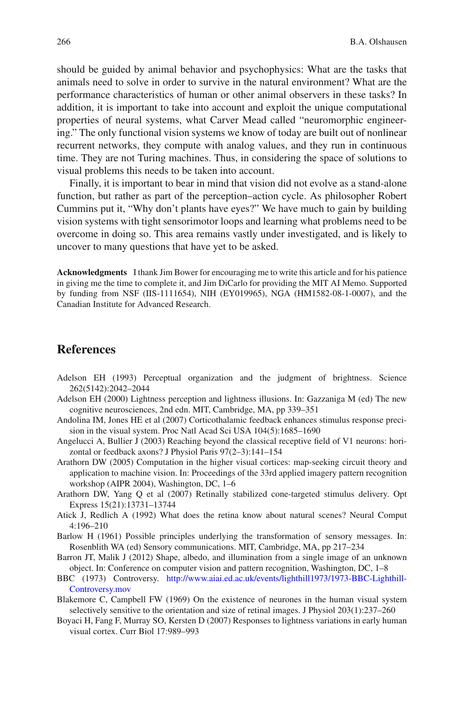<span id="page-23-0"></span>should be guided by animal behavior and psychophysics: What are the tasks that animals need to solve in order to survive in the natural environment? What are the performance characteristics of human or other animal observers in these tasks? In addition, it is important to take into account and exploit the unique computational properties of neural systems, what Carver Mead called "neuromorphic engineering." The only functional vision systems we know of today are built out of nonlinear recurrent networks, they compute with analog values, and they run in continuous time. They are not Turing machines. Thus, in considering the space of solutions to visual problems this needs to be taken into account.

 Finally, it is important to bear in mind that vision did not evolve as a stand-alone function, but rather as part of the perception–action cycle. As philosopher Robert Cummins put it, "Why don't plants have eyes?" We have much to gain by building vision systems with tight sensorimotor loops and learning what problems need to be overcome in doing so. This area remains vastly under investigated, and is likely to uncover to many questions that have yet to be asked.

 **Acknowledgments** I thank Jim Bower for encouraging me to write this article and for his patience in giving me the time to complete it, and Jim DiCarlo for providing the MIT AI Memo. Supported by funding from NSF (IIS-1111654), NIH (EY019965), NGA (HM1582-08-1-0007), and the Canadian Institute for Advanced Research.

#### **References**

- Adelson EH (1993) Perceptual organization and the judgment of brightness. Science 262(5142):2042–2044
- Adelson EH (2000) Lightness perception and lightness illusions. In: Gazzaniga M (ed) The new cognitive neurosciences, 2nd edn. MIT, Cambridge, MA, pp 339–351
- Andolina IM, Jones HE et al (2007) Corticothalamic feedback enhances stimulus response precision in the visual system. Proc Natl Acad Sci USA 104(5):1685–1690
- Angelucci A, Bullier J (2003) Reaching beyond the classical receptive field of V1 neurons: horizontal or feedback axons? J Physiol Paris 97(2–3):141–154
- Arathorn DW (2005) Computation in the higher visual cortices: map-seeking circuit theory and application to machine vision. In: Proceedings of the 33rd applied imagery pattern recognition workshop (AIPR 2004), Washington, DC, 1–6
- Arathorn DW, Yang Q et al (2007) Retinally stabilized cone-targeted stimulus delivery. Opt Express 15(21):13731–13744
- Atick J, Redlich A (1992) What does the retina know about natural scenes? Neural Comput 4:196–210
- Barlow H (1961) Possible principles underlying the transformation of sensory messages. In: Rosenblith WA (ed) Sensory communications. MIT, Cambridge, MA, pp 217–234
- Barron JT, Malik J (2012) Shape, albedo, and illumination from a single image of an unknown object. In: Conference on computer vision and pattern recognition, Washington, DC, 1–8
- BBC (1973) Controversy. [http://www.aiai.ed.ac.uk/events/lighthill1973/1973-BBC-Lighthill-](http://www.aiai.ed.ac.uk/events/lighthill1973/1973-BBC-Lighthill-Controversy.mov)[Controversy.mov](http://www.aiai.ed.ac.uk/events/lighthill1973/1973-BBC-Lighthill-Controversy.mov)
- Blakemore C, Campbell FW (1969) On the existence of neurones in the human visual system selectively sensitive to the orientation and size of retinal images. J Physiol 203(1):237–260
- Boyaci H, Fang F, Murray SO, Kersten D (2007) Responses to lightness variations in early human visual cortex. Curr Biol 17:989–993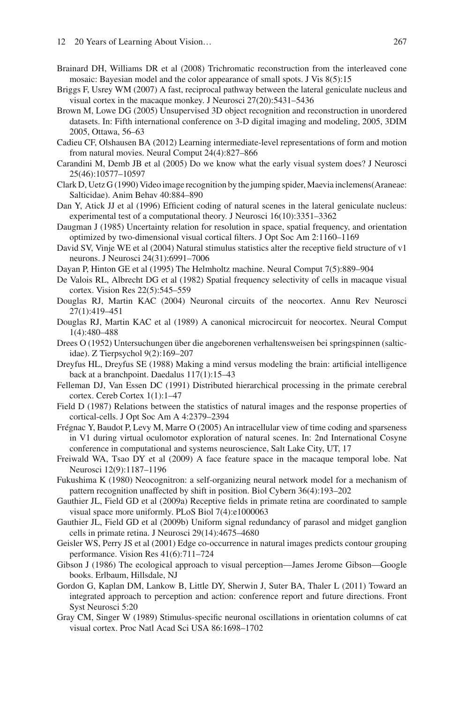- <span id="page-24-0"></span> Brainard DH, Williams DR et al (2008) Trichromatic reconstruction from the interleaved cone mosaic: Bayesian model and the color appearance of small spots. J Vis 8(5):15
- Briggs F, Usrey WM (2007) A fast, reciprocal pathway between the lateral geniculate nucleus and visual cortex in the macaque monkey. J Neurosci 27(20):5431–5436
- Brown M, Lowe DG (2005) Unsupervised 3D object recognition and reconstruction in unordered datasets. In: Fifth international conference on 3-D digital imaging and modeling, 2005, 3DIM 2005, Ottawa, 56–63
- Cadieu CF, Olshausen BA (2012) Learning intermediate-level representations of form and motion from natural movies. Neural Comput 24(4):827–866
- Carandini M, Demb JB et al (2005) Do we know what the early visual system does? J Neurosci 25(46):10577–10597
- Clark D, Uetz G (1990) Video image recognition by the jumping spider, Maevia inclemens(Araneae: Salticidae). Anim Behav 40:884–890
- Dan Y, Atick JJ et al (1996) Efficient coding of natural scenes in the lateral geniculate nucleus: experimental test of a computational theory. J Neurosci 16(10):3351–3362
- Daugman J (1985) Uncertainty relation for resolution in space, spatial frequency, and orientation optimized by two-dimensional visual cortical filters. J Opt Soc Am 2:1160–1169
- David SV, Vinje WE et al (2004) Natural stimulus statistics alter the receptive field structure of  $v1$ neurons. J Neurosci 24(31):6991–7006
- Dayan P, Hinton GE et al (1995) The Helmholtz machine. Neural Comput 7(5):889–904
- De Valois RL, Albrecht DG et al (1982) Spatial frequency selectivity of cells in macaque visual cortex. Vision Res 22(5):545–559
- Douglas RJ, Martin KAC (2004) Neuronal circuits of the neocortex. Annu Rev Neurosci 27(1):419–451
- Douglas RJ, Martin KAC et al (1989) A canonical microcircuit for neocortex. Neural Comput 1(4):480–488
- Drees O (1952) Untersuchungen über die angeborenen verhaltensweisen bei springspinnen (salticidae). Z Tierpsychol 9(2):169–207
- Dreyfus HL, Dreyfus SE (1988) Making a mind versus modeling the brain: artificial intelligence back at a branchpoint. Daedalus 117(1):15–43
- Felleman DJ, Van Essen DC (1991) Distributed hierarchical processing in the primate cerebral cortex. Cereb Cortex 1(1):1–47
- Field D (1987) Relations between the statistics of natural images and the response properties of cortical-cells. J Opt Soc Am A 4:2379–2394
- Frégnac Y, Baudot P, Levy M, Marre O (2005) An intracellular view of time coding and sparseness in V1 during virtual oculomotor exploration of natural scenes. In: 2nd International Cosyne conference in computational and systems neuroscience, Salt Lake City, UT, 17
- Freiwald WA, Tsao DY et al (2009) A face feature space in the macaque temporal lobe. Nat Neurosci 12(9):1187–1196
- Fukushima K (1980) Neocognitron: a self-organizing neural network model for a mechanism of pattern recognition unaffected by shift in position. Biol Cybern 36(4):193–202
- Gauthier JL, Field GD et al (2009a) Receptive fields in primate retina are coordinated to sample visual space more uniformly. PLoS Biol 7(4):e1000063
- Gauthier JL, Field GD et al (2009b) Uniform signal redundancy of parasol and midget ganglion cells in primate retina. J Neurosci 29(14):4675–4680
- Geisler WS, Perry JS et al (2001) Edge co-occurrence in natural images predicts contour grouping performance. Vision Res 41(6):711–724
- Gibson J (1986) The ecological approach to visual perception—James Jerome Gibson—Google books. Erlbaum, Hillsdale, NJ
- Gordon G, Kaplan DM, Lankow B, Little DY, Sherwin J, Suter BA, Thaler L (2011) Toward an integrated approach to perception and action: conference report and future directions. Front Syst Neurosci 5:20
- Gray CM, Singer W (1989) Stimulus-specifi c neuronal oscillations in orientation columns of cat visual cortex. Proc Natl Acad Sci USA 86:1698–1702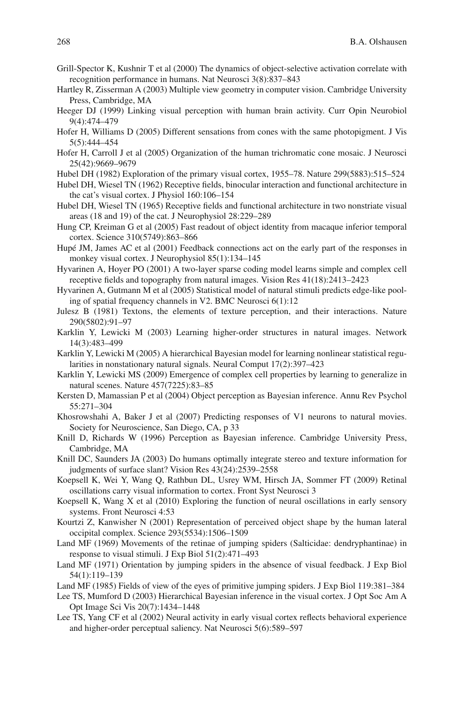- <span id="page-25-0"></span> Grill-Spector K, Kushnir T et al (2000) The dynamics of object-selective activation correlate with recognition performance in humans. Nat Neurosci 3(8):837–843
- Hartley R, Zisserman A (2003) Multiple view geometry in computer vision. Cambridge University Press, Cambridge, MA
- Heeger DJ (1999) Linking visual perception with human brain activity. Curr Opin Neurobiol 9(4):474–479
- Hofer H, Williams D (2005) Different sensations from cones with the same photopigment. J Vis 5(5):444–454
- Hofer H, Carroll J et al (2005) Organization of the human trichromatic cone mosaic. J Neurosci 25(42):9669–9679
- Hubel DH (1982) Exploration of the primary visual cortex, 1955–78. Nature 299(5883):515–524
- Hubel DH, Wiesel TN (1962) Receptive fields, binocular interaction and functional architecture in the cat's visual cortex. J Physiol 160:106–154
- Hubel DH, Wiesel TN (1965) Receptive fields and functional architecture in two nonstriate visual areas (18 and 19) of the cat. J Neurophysiol 28:229–289
- Hung CP, Kreiman G et al (2005) Fast readout of object identity from macaque inferior temporal cortex. Science 310(5749):863–866
- Hupé JM, James AC et al (2001) Feedback connections act on the early part of the responses in monkey visual cortex. J Neurophysiol 85(1):134–145
- Hyvarinen A, Hoyer PO (2001) A two-layer sparse coding model learns simple and complex cell receptive fields and topography from natural images. Vision Res 41(18):2413-2423
- Hyvarinen A, Gutmann M et al (2005) Statistical model of natural stimuli predicts edge-like pooling of spatial frequency channels in V2. BMC Neurosci 6(1):12
- Julesz B (1981) Textons, the elements of texture perception, and their interactions. Nature 290(5802):91–97
- Karklin Y, Lewicki M (2003) Learning higher-order structures in natural images. Network 14(3):483–499
- Karklin Y, Lewicki M (2005) A hierarchical Bayesian model for learning nonlinear statistical regularities in nonstationary natural signals. Neural Comput 17(2):397–423
- Karklin Y, Lewicki MS (2009) Emergence of complex cell properties by learning to generalize in natural scenes. Nature 457(7225):83–85
- Kersten D, Mamassian P et al (2004) Object perception as Bayesian inference. Annu Rev Psychol 55:271–304
- Khosrowshahi A, Baker J et al (2007) Predicting responses of V1 neurons to natural movies. Society for Neuroscience, San Diego, CA, p 33
- Knill D, Richards W (1996) Perception as Bayesian inference. Cambridge University Press, Cambridge, MA
- Knill DC, Saunders JA (2003) Do humans optimally integrate stereo and texture information for judgments of surface slant? Vision Res 43(24):2539–2558
- Koepsell K, Wei Y, Wang Q, Rathbun DL, Usrey WM, Hirsch JA, Sommer FT (2009) Retinal oscillations carry visual information to cortex. Front Syst Neurosci 3
- Koepsell K, Wang X et al (2010) Exploring the function of neural oscillations in early sensory systems. Front Neurosci 4:53
- Kourtzi Z, Kanwisher N (2001) Representation of perceived object shape by the human lateral occipital complex. Science 293(5534):1506–1509
- Land MF (1969) Movements of the retinae of jumping spiders (Salticidae: dendryphantinae) in response to visual stimuli. J Exp Biol 51(2):471–493
- Land MF (1971) Orientation by jumping spiders in the absence of visual feedback. J Exp Biol 54(1):119–139
- Land MF (1985) Fields of view of the eyes of primitive jumping spiders. J Exp Biol 119:381–384
- Lee TS, Mumford D (2003) Hierarchical Bayesian inference in the visual cortex. J Opt Soc Am A Opt Image Sci Vis 20(7):1434–1448
- Lee TS, Yang CF et al (2002) Neural activity in early visual cortex reflects behavioral experience and higher-order perceptual saliency. Nat Neurosci 5(6):589–597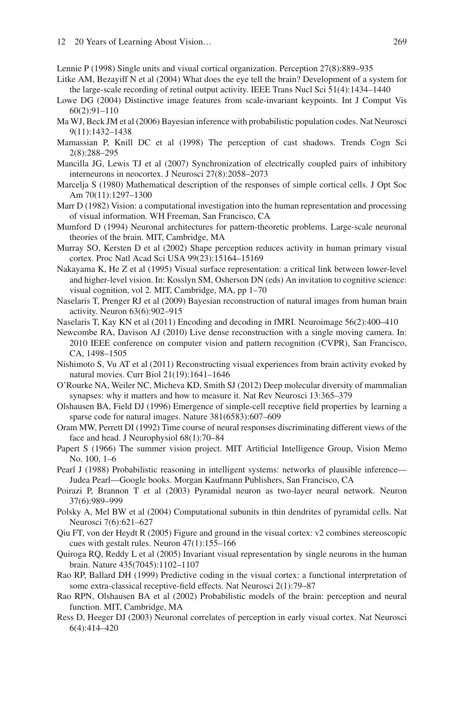<span id="page-26-0"></span>Lennie P (1998) Single units and visual cortical organization. Perception 27(8):889–935

- Litke AM, Bezayiff N et al (2004) What does the eye tell the brain? Development of a system for the large-scale recording of retinal output activity. IEEE Trans Nucl Sci 51(4):1434–1440
- Lowe DG (2004) Distinctive image features from scale-invariant keypoints. Int J Comput Vis 60(2):91–110
- Ma WJ, Beck JM et al (2006) Bayesian inference with probabilistic population codes. Nat Neurosci 9(11):1432–1438
- Mamassian P, Knill DC et al (1998) The perception of cast shadows. Trends Cogn Sci 2(8):288–295
- Mancilla JG, Lewis TJ et al (2007) Synchronization of electrically coupled pairs of inhibitory interneurons in neocortex. J Neurosci 27(8):2058–2073
- Marcelja S (1980) Mathematical description of the responses of simple cortical cells. J Opt Soc Am 70(11):1297–1300
- Marr D (1982) Vision: a computational investigation into the human representation and processing of visual information. WH Freeman, San Francisco, CA
- Mumford D (1994) Neuronal architectures for pattern-theoretic problems. Large-scale neuronal theories of the brain. MIT, Cambridge, MA
- Murray SO, Kersten D et al (2002) Shape perception reduces activity in human primary visual cortex. Proc Natl Acad Sci USA 99(23):15164–15169
- Nakayama K, He Z et al (1995) Visual surface representation: a critical link between lower-level and higher-level vision. In: Kosslyn SM, Osherson DN (eds) An invitation to cognitive science: visual cognition, vol 2. MIT, Cambridge, MA, pp 1–70
- Naselaris T, Prenger RJ et al (2009) Bayesian reconstruction of natural images from human brain activity. Neuron 63(6):902–915
- Naselaris T, Kay KN et al (2011) Encoding and decoding in fMRI. Neuroimage 56(2):400–410
- Newcombe RA, Davison AJ (2010) Live dense reconstruction with a single moving camera. In: 2010 IEEE conference on computer vision and pattern recognition (CVPR), San Francisco, CA, 1498–1505
- Nishimoto S, Vu AT et al (2011) Reconstructing visual experiences from brain activity evoked by natural movies. Curr Biol 21(19):1641–1646
- O'Rourke NA, Weiler NC, Micheva KD, Smith SJ (2012) Deep molecular diversity of mammalian synapses: why it matters and how to measure it. Nat Rev Neurosci 13:365–379
- Olshausen BA, Field DJ (1996) Emergence of simple-cell receptive field properties by learning a sparse code for natural images. Nature 381(6583):607–609
- Oram MW, Perrett DI (1992) Time course of neural responses discriminating different views of the face and head. J Neurophysiol 68(1):70–84
- Papert S (1966) The summer vision project. MIT Artificial Intelligence Group, Vision Memo No. 100, 1–6
- Pearl J (1988) Probabilistic reasoning in intelligent systems: networks of plausible inference— Judea Pearl—Google books. Morgan Kaufmann Publishers, San Francisco, CA
- Poirazi P, Brannon T et al (2003) Pyramidal neuron as two-layer neural network. Neuron 37(6):989–999
- Polsky A, Mel BW et al (2004) Computational subunits in thin dendrites of pyramidal cells. Nat Neurosci 7(6):621–627
- Qiu FT, von der Heydt R (2005) Figure and ground in the visual cortex: v2 combines stereoscopic cues with gestalt rules. Neuron 47(1):155–166
- Quiroga RQ, Reddy L et al (2005) Invariant visual representation by single neurons in the human brain. Nature 435(7045):1102–1107
- Rao RP, Ballard DH (1999) Predictive coding in the visual cortex: a functional interpretation of some extra-classical receptive-field effects. Nat Neurosci 2(1):79-87
- Rao RPN, Olshausen BA et al (2002) Probabilistic models of the brain: perception and neural function. MIT, Cambridge, MA
- Ress D, Heeger DJ (2003) Neuronal correlates of perception in early visual cortex. Nat Neurosci 6(4):414–420